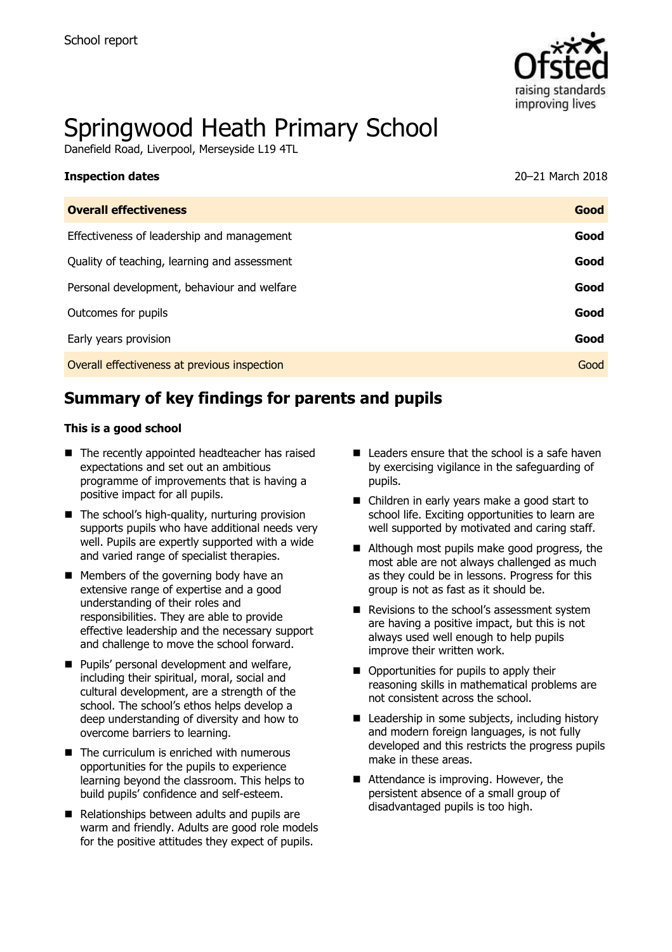

# Springwood Heath Primary School

Danefield Road, Liverpool, Merseyside L19 4TL

| <b>Inspection dates</b>                      | 20-21 March 2018 |
|----------------------------------------------|------------------|
| <b>Overall effectiveness</b>                 | Good             |
| Effectiveness of leadership and management   | Good             |
| Quality of teaching, learning and assessment | Good             |
| Personal development, behaviour and welfare  | Good             |
| Outcomes for pupils                          | Good             |
| Early years provision                        | Good             |
| Overall effectiveness at previous inspection | Good             |
|                                              |                  |

# **Summary of key findings for parents and pupils**

#### **This is a good school**

- The recently appointed headteacher has raised expectations and set out an ambitious programme of improvements that is having a positive impact for all pupils.
- $\blacksquare$  The school's high-quality, nurturing provision supports pupils who have additional needs very well. Pupils are expertly supported with a wide and varied range of specialist therapies.
- **Members of the governing body have an** extensive range of expertise and a good understanding of their roles and responsibilities. They are able to provide effective leadership and the necessary support and challenge to move the school forward.
- **Pupils' personal development and welfare,** including their spiritual, moral, social and cultural development, are a strength of the school. The school's ethos helps develop a deep understanding of diversity and how to overcome barriers to learning.
- The curriculum is enriched with numerous opportunities for the pupils to experience learning beyond the classroom. This helps to build pupils' confidence and self-esteem.
- Relationships between adults and pupils are warm and friendly. Adults are good role models for the positive attitudes they expect of pupils.
- $\blacksquare$  Leaders ensure that the school is a safe haven by exercising vigilance in the safeguarding of pupils.
- Children in early years make a good start to school life. Exciting opportunities to learn are well supported by motivated and caring staff.
- Although most pupils make good progress, the most able are not always challenged as much as they could be in lessons. Progress for this group is not as fast as it should be.
- Revisions to the school's assessment system are having a positive impact, but this is not always used well enough to help pupils improve their written work.
- Opportunities for pupils to apply their reasoning skills in mathematical problems are not consistent across the school.
- Leadership in some subjects, including history and modern foreign languages, is not fully developed and this restricts the progress pupils make in these areas.
- Attendance is improving. However, the persistent absence of a small group of disadvantaged pupils is too high.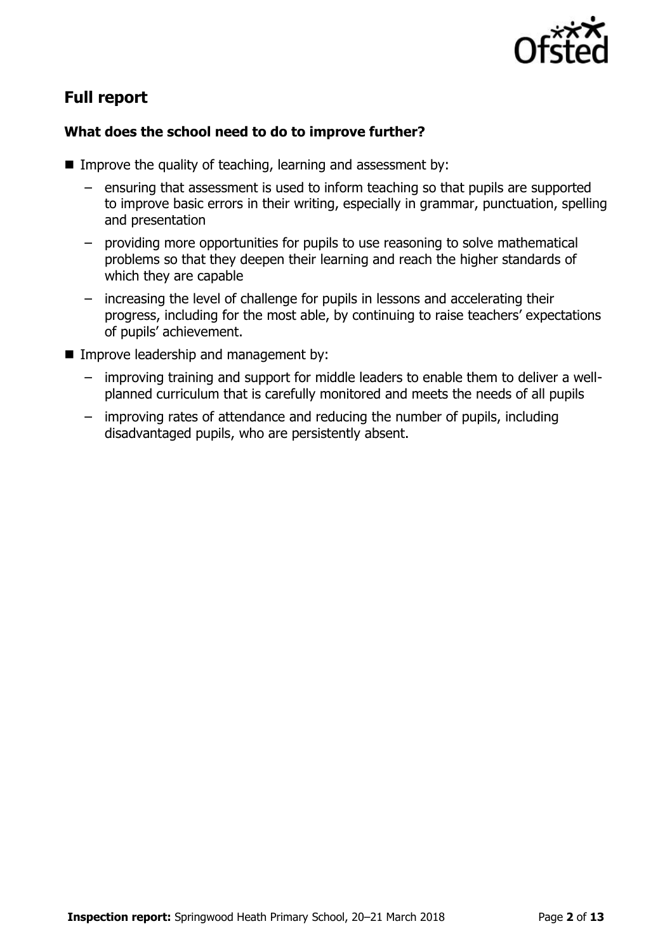

# **Full report**

## **What does the school need to do to improve further?**

- Improve the quality of teaching, learning and assessment by:
	- ensuring that assessment is used to inform teaching so that pupils are supported to improve basic errors in their writing, especially in grammar, punctuation, spelling and presentation
	- providing more opportunities for pupils to use reasoning to solve mathematical problems so that they deepen their learning and reach the higher standards of which they are capable
	- increasing the level of challenge for pupils in lessons and accelerating their progress, including for the most able, by continuing to raise teachers' expectations of pupils' achievement.
- **Improve leadership and management by:** 
	- improving training and support for middle leaders to enable them to deliver a wellplanned curriculum that is carefully monitored and meets the needs of all pupils
	- improving rates of attendance and reducing the number of pupils, including disadvantaged pupils, who are persistently absent.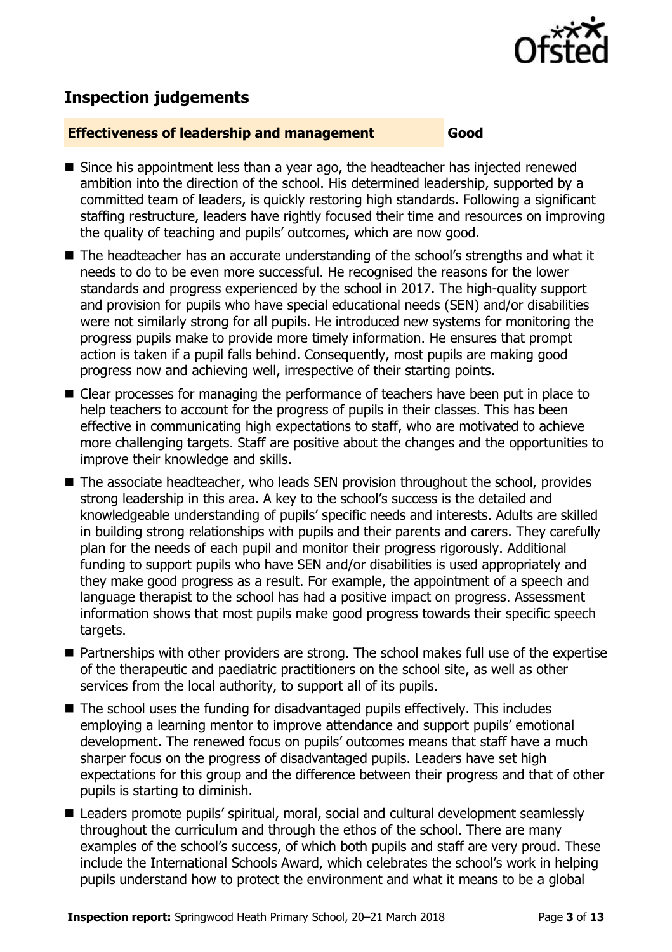

# **Inspection judgements**

#### **Effectiveness of leadership and management Good**

- Since his appointment less than a year ago, the headteacher has injected renewed ambition into the direction of the school. His determined leadership, supported by a committed team of leaders, is quickly restoring high standards. Following a significant staffing restructure, leaders have rightly focused their time and resources on improving the quality of teaching and pupils' outcomes, which are now good.
- The headteacher has an accurate understanding of the school's strengths and what it needs to do to be even more successful. He recognised the reasons for the lower standards and progress experienced by the school in 2017. The high-quality support and provision for pupils who have special educational needs (SEN) and/or disabilities were not similarly strong for all pupils. He introduced new systems for monitoring the progress pupils make to provide more timely information. He ensures that prompt action is taken if a pupil falls behind. Consequently, most pupils are making good progress now and achieving well, irrespective of their starting points.
- Clear processes for managing the performance of teachers have been put in place to help teachers to account for the progress of pupils in their classes. This has been effective in communicating high expectations to staff, who are motivated to achieve more challenging targets. Staff are positive about the changes and the opportunities to improve their knowledge and skills.
- The associate headteacher, who leads SEN provision throughout the school, provides strong leadership in this area. A key to the school's success is the detailed and knowledgeable understanding of pupils' specific needs and interests. Adults are skilled in building strong relationships with pupils and their parents and carers. They carefully plan for the needs of each pupil and monitor their progress rigorously. Additional funding to support pupils who have SEN and/or disabilities is used appropriately and they make good progress as a result. For example, the appointment of a speech and language therapist to the school has had a positive impact on progress. Assessment information shows that most pupils make good progress towards their specific speech targets.
- Partnerships with other providers are strong. The school makes full use of the expertise of the therapeutic and paediatric practitioners on the school site, as well as other services from the local authority, to support all of its pupils.
- The school uses the funding for disadvantaged pupils effectively. This includes employing a learning mentor to improve attendance and support pupils' emotional development. The renewed focus on pupils' outcomes means that staff have a much sharper focus on the progress of disadvantaged pupils. Leaders have set high expectations for this group and the difference between their progress and that of other pupils is starting to diminish.
- Leaders promote pupils' spiritual, moral, social and cultural development seamlessly throughout the curriculum and through the ethos of the school. There are many examples of the school's success, of which both pupils and staff are very proud. These include the International Schools Award, which celebrates the school's work in helping pupils understand how to protect the environment and what it means to be a global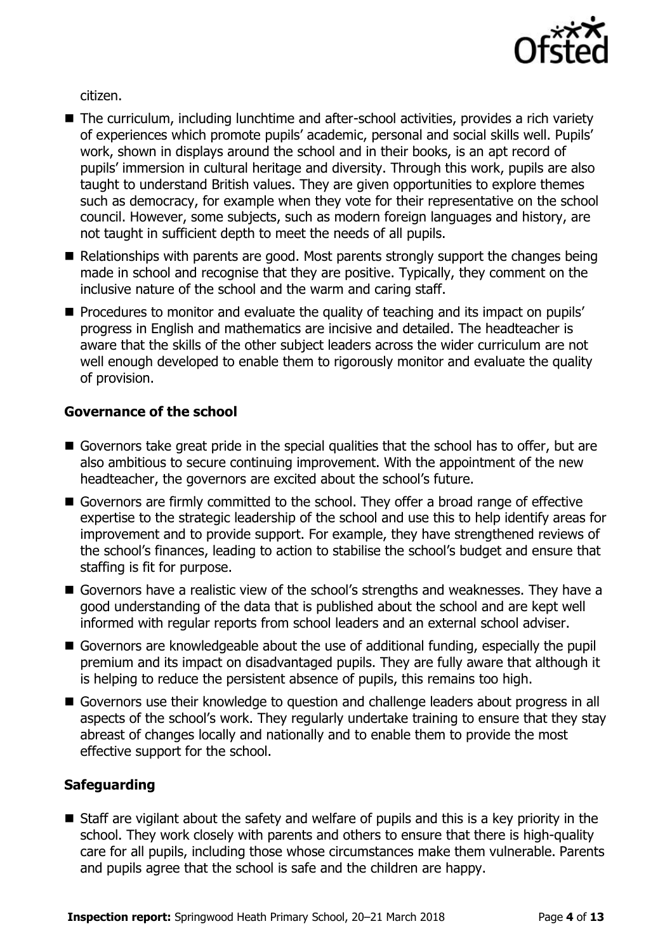

citizen.

- The curriculum, including lunchtime and after-school activities, provides a rich variety of experiences which promote pupils' academic, personal and social skills well. Pupils' work, shown in displays around the school and in their books, is an apt record of pupils' immersion in cultural heritage and diversity. Through this work, pupils are also taught to understand British values. They are given opportunities to explore themes such as democracy, for example when they vote for their representative on the school council. However, some subjects, such as modern foreign languages and history, are not taught in sufficient depth to meet the needs of all pupils.
- Relationships with parents are good. Most parents strongly support the changes being made in school and recognise that they are positive. Typically, they comment on the inclusive nature of the school and the warm and caring staff.
- **Procedures to monitor and evaluate the quality of teaching and its impact on pupils'** progress in English and mathematics are incisive and detailed. The headteacher is aware that the skills of the other subject leaders across the wider curriculum are not well enough developed to enable them to rigorously monitor and evaluate the quality of provision.

## **Governance of the school**

- Governors take great pride in the special qualities that the school has to offer, but are also ambitious to secure continuing improvement. With the appointment of the new headteacher, the governors are excited about the school's future.
- Governors are firmly committed to the school. They offer a broad range of effective expertise to the strategic leadership of the school and use this to help identify areas for improvement and to provide support. For example, they have strengthened reviews of the school's finances, leading to action to stabilise the school's budget and ensure that staffing is fit for purpose.
- Governors have a realistic view of the school's strengths and weaknesses. They have a good understanding of the data that is published about the school and are kept well informed with regular reports from school leaders and an external school adviser.
- Governors are knowledgeable about the use of additional funding, especially the pupil premium and its impact on disadvantaged pupils. They are fully aware that although it is helping to reduce the persistent absence of pupils, this remains too high.
- Governors use their knowledge to question and challenge leaders about progress in all aspects of the school's work. They regularly undertake training to ensure that they stay abreast of changes locally and nationally and to enable them to provide the most effective support for the school.

## **Safeguarding**

 Staff are vigilant about the safety and welfare of pupils and this is a key priority in the school. They work closely with parents and others to ensure that there is high-quality care for all pupils, including those whose circumstances make them vulnerable. Parents and pupils agree that the school is safe and the children are happy.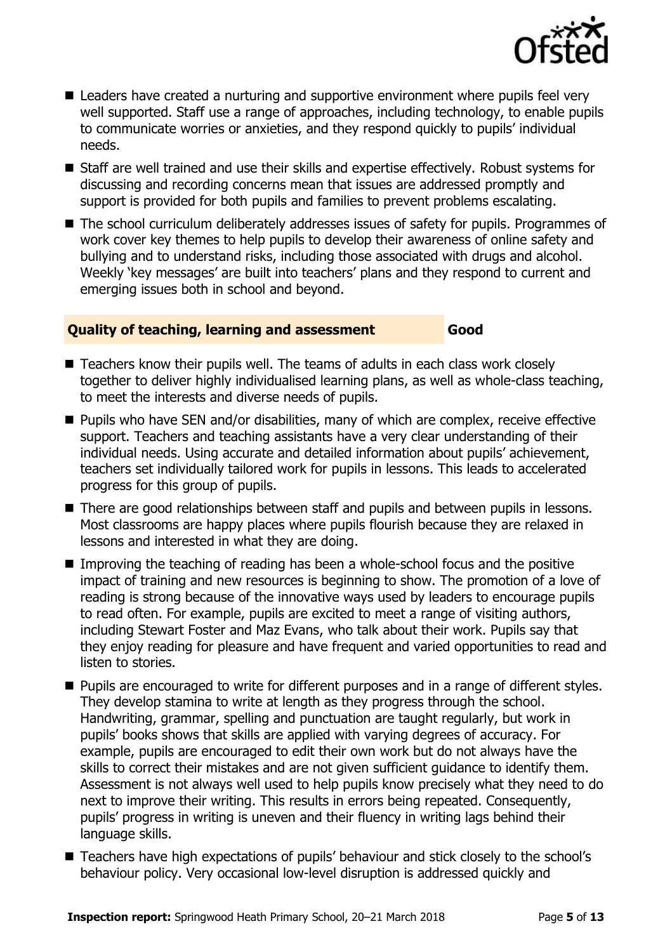

- Leaders have created a nurturing and supportive environment where pupils feel very well supported. Staff use a range of approaches, including technology, to enable pupils to communicate worries or anxieties, and they respond quickly to pupils' individual needs.
- Staff are well trained and use their skills and expertise effectively. Robust systems for discussing and recording concerns mean that issues are addressed promptly and support is provided for both pupils and families to prevent problems escalating.
- The school curriculum deliberately addresses issues of safety for pupils. Programmes of work cover key themes to help pupils to develop their awareness of online safety and bullying and to understand risks, including those associated with drugs and alcohol. Weekly 'key messages' are built into teachers' plans and they respond to current and emerging issues both in school and beyond.

### **Quality of teaching, learning and assessment Good**

- Teachers know their pupils well. The teams of adults in each class work closely together to deliver highly individualised learning plans, as well as whole-class teaching, to meet the interests and diverse needs of pupils.
- Pupils who have SEN and/or disabilities, many of which are complex, receive effective support. Teachers and teaching assistants have a very clear understanding of their individual needs. Using accurate and detailed information about pupils' achievement, teachers set individually tailored work for pupils in lessons. This leads to accelerated progress for this group of pupils.
- There are good relationships between staff and pupils and between pupils in lessons. Most classrooms are happy places where pupils flourish because they are relaxed in lessons and interested in what they are doing.
- Improving the teaching of reading has been a whole-school focus and the positive impact of training and new resources is beginning to show. The promotion of a love of reading is strong because of the innovative ways used by leaders to encourage pupils to read often. For example, pupils are excited to meet a range of visiting authors, including Stewart Foster and Maz Evans, who talk about their work. Pupils say that they enjoy reading for pleasure and have frequent and varied opportunities to read and listen to stories.
- **Pupils are encouraged to write for different purposes and in a range of different styles.** They develop stamina to write at length as they progress through the school. Handwriting, grammar, spelling and punctuation are taught regularly, but work in pupils' books shows that skills are applied with varying degrees of accuracy. For example, pupils are encouraged to edit their own work but do not always have the skills to correct their mistakes and are not given sufficient guidance to identify them. Assessment is not always well used to help pupils know precisely what they need to do next to improve their writing. This results in errors being repeated. Consequently, pupils' progress in writing is uneven and their fluency in writing lags behind their language skills.
- Teachers have high expectations of pupils' behaviour and stick closely to the school's behaviour policy. Very occasional low-level disruption is addressed quickly and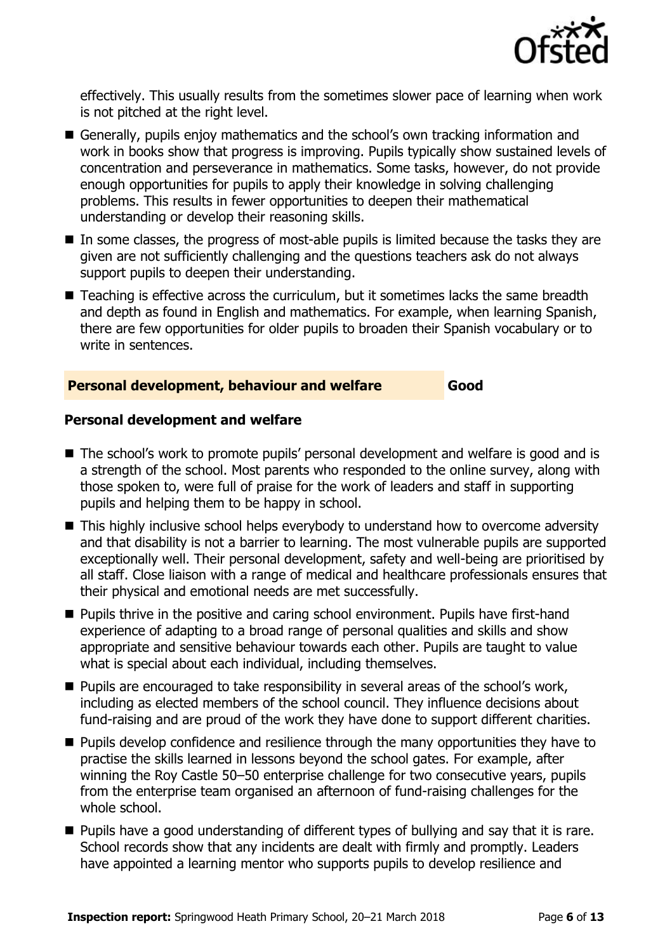

effectively. This usually results from the sometimes slower pace of learning when work is not pitched at the right level.

- Generally, pupils enjoy mathematics and the school's own tracking information and work in books show that progress is improving. Pupils typically show sustained levels of concentration and perseverance in mathematics. Some tasks, however, do not provide enough opportunities for pupils to apply their knowledge in solving challenging problems. This results in fewer opportunities to deepen their mathematical understanding or develop their reasoning skills.
- In some classes, the progress of most-able pupils is limited because the tasks they are given are not sufficiently challenging and the questions teachers ask do not always support pupils to deepen their understanding.
- Teaching is effective across the curriculum, but it sometimes lacks the same breadth and depth as found in English and mathematics. For example, when learning Spanish, there are few opportunities for older pupils to broaden their Spanish vocabulary or to write in sentences.

#### **Personal development, behaviour and welfare Good**

**Personal development and welfare**

- The school's work to promote pupils' personal development and welfare is good and is a strength of the school. Most parents who responded to the online survey, along with those spoken to, were full of praise for the work of leaders and staff in supporting pupils and helping them to be happy in school.
- This highly inclusive school helps everybody to understand how to overcome adversity and that disability is not a barrier to learning. The most vulnerable pupils are supported exceptionally well. Their personal development, safety and well-being are prioritised by all staff. Close liaison with a range of medical and healthcare professionals ensures that their physical and emotional needs are met successfully.
- Pupils thrive in the positive and caring school environment. Pupils have first-hand experience of adapting to a broad range of personal qualities and skills and show appropriate and sensitive behaviour towards each other. Pupils are taught to value what is special about each individual, including themselves.
- **Pupils are encouraged to take responsibility in several areas of the school's work,** including as elected members of the school council. They influence decisions about fund-raising and are proud of the work they have done to support different charities.
- **Pupils develop confidence and resilience through the many opportunities they have to** practise the skills learned in lessons beyond the school gates. For example, after winning the Roy Castle 50–50 enterprise challenge for two consecutive years, pupils from the enterprise team organised an afternoon of fund-raising challenges for the whole school.
- **Pupils have a good understanding of different types of bullying and say that it is rare.** School records show that any incidents are dealt with firmly and promptly. Leaders have appointed a learning mentor who supports pupils to develop resilience and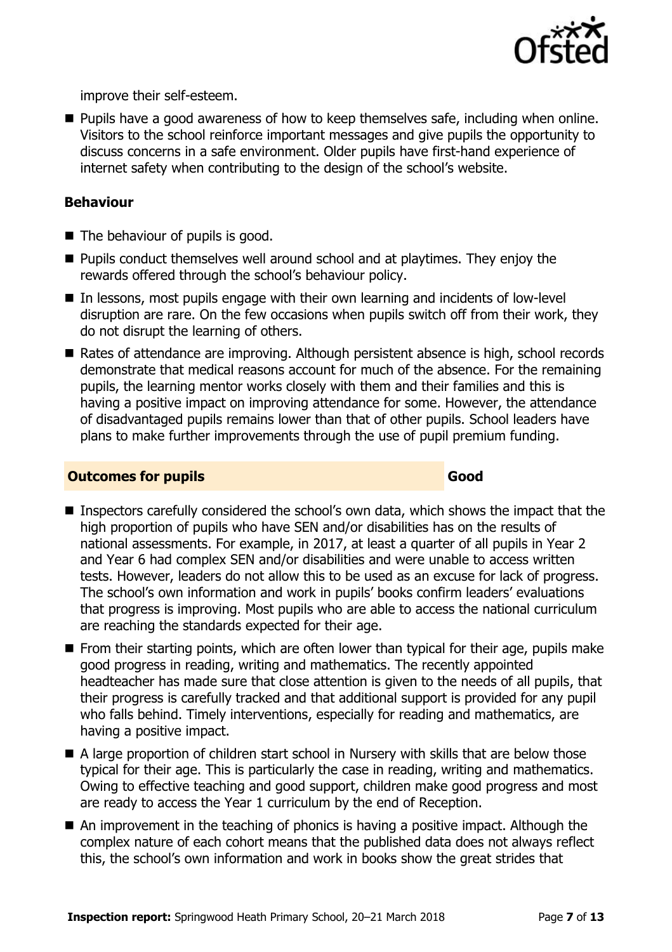

improve their self-esteem.

**Pupils have a good awareness of how to keep themselves safe, including when online.** Visitors to the school reinforce important messages and give pupils the opportunity to discuss concerns in a safe environment. Older pupils have first-hand experience of internet safety when contributing to the design of the school's website.

## **Behaviour**

- $\blacksquare$  The behaviour of pupils is good.
- **Pupils conduct themselves well around school and at playtimes. They enjoy the** rewards offered through the school's behaviour policy.
- In lessons, most pupils engage with their own learning and incidents of low-level disruption are rare. On the few occasions when pupils switch off from their work, they do not disrupt the learning of others.
- Rates of attendance are improving. Although persistent absence is high, school records demonstrate that medical reasons account for much of the absence. For the remaining pupils, the learning mentor works closely with them and their families and this is having a positive impact on improving attendance for some. However, the attendance of disadvantaged pupils remains lower than that of other pupils. School leaders have plans to make further improvements through the use of pupil premium funding.

#### **Outcomes for pupils Good**

- Inspectors carefully considered the school's own data, which shows the impact that the high proportion of pupils who have SEN and/or disabilities has on the results of national assessments. For example, in 2017, at least a quarter of all pupils in Year 2 and Year 6 had complex SEN and/or disabilities and were unable to access written tests. However, leaders do not allow this to be used as an excuse for lack of progress. The school's own information and work in pupils' books confirm leaders' evaluations that progress is improving. Most pupils who are able to access the national curriculum are reaching the standards expected for their age.
- **From their starting points, which are often lower than typical for their age, pupils make** good progress in reading, writing and mathematics. The recently appointed headteacher has made sure that close attention is given to the needs of all pupils, that their progress is carefully tracked and that additional support is provided for any pupil who falls behind. Timely interventions, especially for reading and mathematics, are having a positive impact.
- A large proportion of children start school in Nursery with skills that are below those typical for their age. This is particularly the case in reading, writing and mathematics. Owing to effective teaching and good support, children make good progress and most are ready to access the Year 1 curriculum by the end of Reception.
- An improvement in the teaching of phonics is having a positive impact. Although the complex nature of each cohort means that the published data does not always reflect this, the school's own information and work in books show the great strides that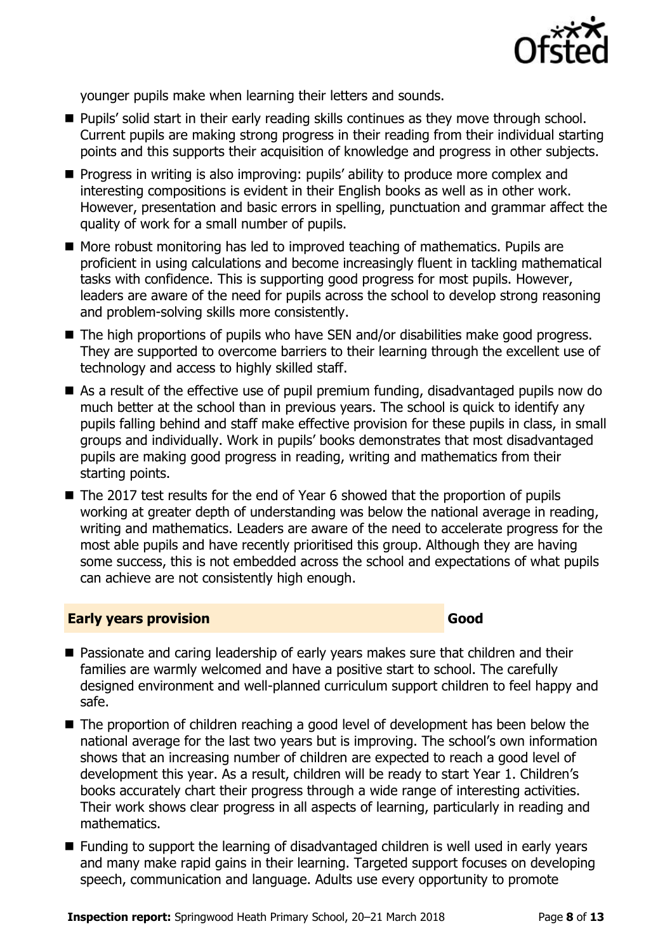

younger pupils make when learning their letters and sounds.

- **Pupils' solid start in their early reading skills continues as they move through school.** Current pupils are making strong progress in their reading from their individual starting points and this supports their acquisition of knowledge and progress in other subjects.
- **Progress in writing is also improving: pupils' ability to produce more complex and** interesting compositions is evident in their English books as well as in other work. However, presentation and basic errors in spelling, punctuation and grammar affect the quality of work for a small number of pupils.
- More robust monitoring has led to improved teaching of mathematics. Pupils are proficient in using calculations and become increasingly fluent in tackling mathematical tasks with confidence. This is supporting good progress for most pupils. However, leaders are aware of the need for pupils across the school to develop strong reasoning and problem-solving skills more consistently.
- The high proportions of pupils who have SEN and/or disabilities make good progress. They are supported to overcome barriers to their learning through the excellent use of technology and access to highly skilled staff.
- As a result of the effective use of pupil premium funding, disadvantaged pupils now do much better at the school than in previous years. The school is quick to identify any pupils falling behind and staff make effective provision for these pupils in class, in small groups and individually. Work in pupils' books demonstrates that most disadvantaged pupils are making good progress in reading, writing and mathematics from their starting points.
- The 2017 test results for the end of Year 6 showed that the proportion of pupils working at greater depth of understanding was below the national average in reading, writing and mathematics. Leaders are aware of the need to accelerate progress for the most able pupils and have recently prioritised this group. Although they are having some success, this is not embedded across the school and expectations of what pupils can achieve are not consistently high enough.

#### **Early years provision Good Good**

- **Passionate and caring leadership of early years makes sure that children and their** families are warmly welcomed and have a positive start to school. The carefully designed environment and well-planned curriculum support children to feel happy and safe.
- The proportion of children reaching a good level of development has been below the national average for the last two years but is improving. The school's own information shows that an increasing number of children are expected to reach a good level of development this year. As a result, children will be ready to start Year 1. Children's books accurately chart their progress through a wide range of interesting activities. Their work shows clear progress in all aspects of learning, particularly in reading and mathematics.
- Funding to support the learning of disadvantaged children is well used in early years and many make rapid gains in their learning. Targeted support focuses on developing speech, communication and language. Adults use every opportunity to promote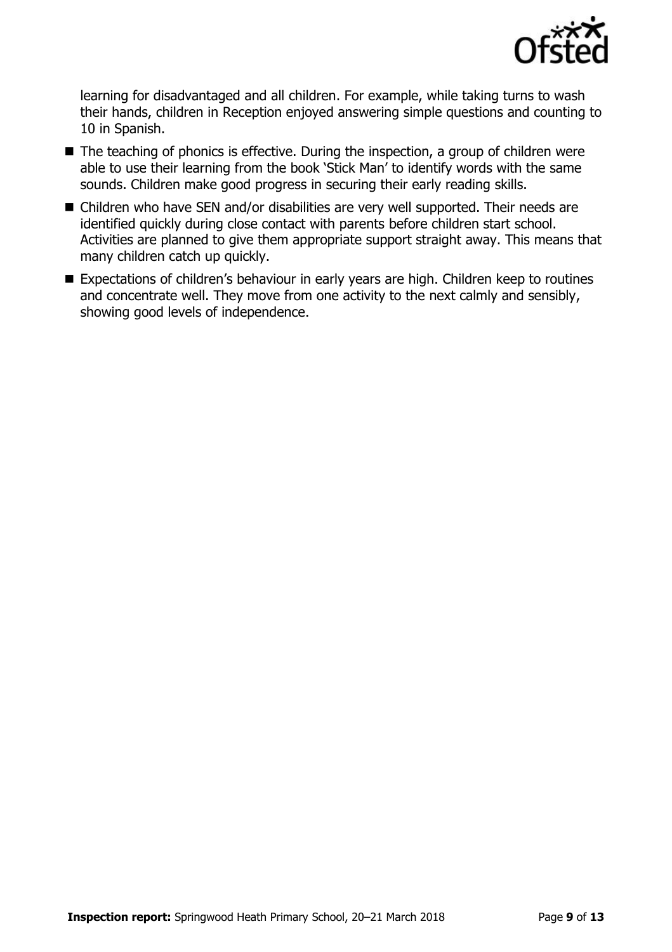

learning for disadvantaged and all children. For example, while taking turns to wash their hands, children in Reception enjoyed answering simple questions and counting to 10 in Spanish.

- The teaching of phonics is effective. During the inspection, a group of children were able to use their learning from the book 'Stick Man' to identify words with the same sounds. Children make good progress in securing their early reading skills.
- Children who have SEN and/or disabilities are very well supported. Their needs are identified quickly during close contact with parents before children start school. Activities are planned to give them appropriate support straight away. This means that many children catch up quickly.
- Expectations of children's behaviour in early years are high. Children keep to routines and concentrate well. They move from one activity to the next calmly and sensibly, showing good levels of independence.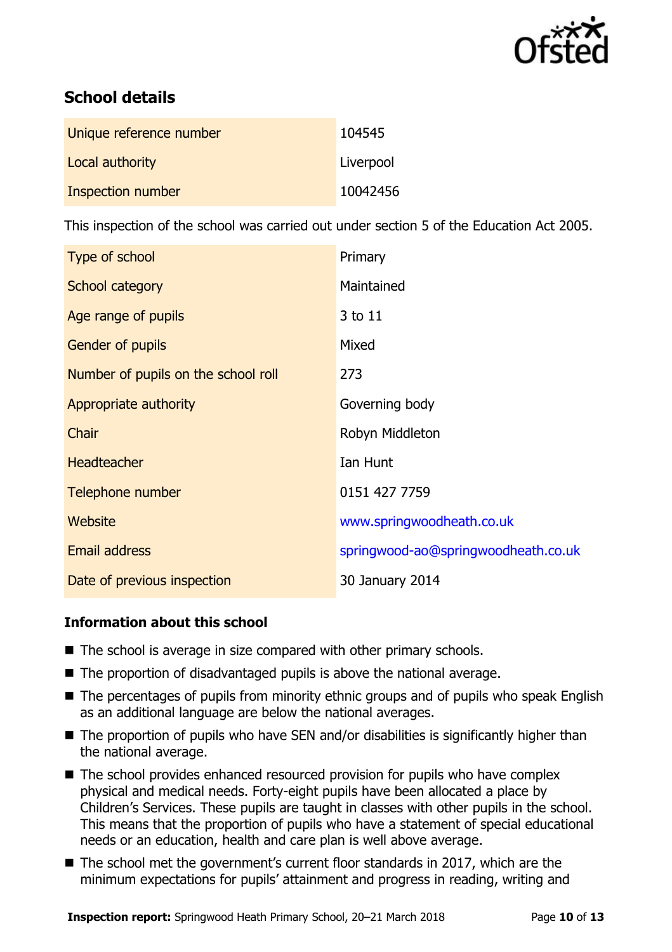

# **School details**

| Unique reference number | 104545    |
|-------------------------|-----------|
| Local authority         | Liverpool |
| Inspection number       | 10042456  |

This inspection of the school was carried out under section 5 of the Education Act 2005.

| Type of school                      | Primary                             |
|-------------------------------------|-------------------------------------|
| School category                     | Maintained                          |
| Age range of pupils                 | 3 to 11                             |
| Gender of pupils                    | Mixed                               |
| Number of pupils on the school roll | 273                                 |
| Appropriate authority               | Governing body                      |
| Chair                               | Robyn Middleton                     |
| <b>Headteacher</b>                  | Ian Hunt                            |
| Telephone number                    | 0151 427 7759                       |
| Website                             | www.springwoodheath.co.uk           |
| <b>Email address</b>                | springwood-ao@springwoodheath.co.uk |
| Date of previous inspection         | 30 January 2014                     |

## **Information about this school**

- The school is average in size compared with other primary schools.
- The proportion of disadvantaged pupils is above the national average.
- The percentages of pupils from minority ethnic groups and of pupils who speak English as an additional language are below the national averages.
- The proportion of pupils who have SEN and/or disabilities is significantly higher than the national average.
- The school provides enhanced resourced provision for pupils who have complex physical and medical needs. Forty-eight pupils have been allocated a place by Children's Services. These pupils are taught in classes with other pupils in the school. This means that the proportion of pupils who have a statement of special educational needs or an education, health and care plan is well above average.
- The school met the government's current floor standards in 2017, which are the minimum expectations for pupils' attainment and progress in reading, writing and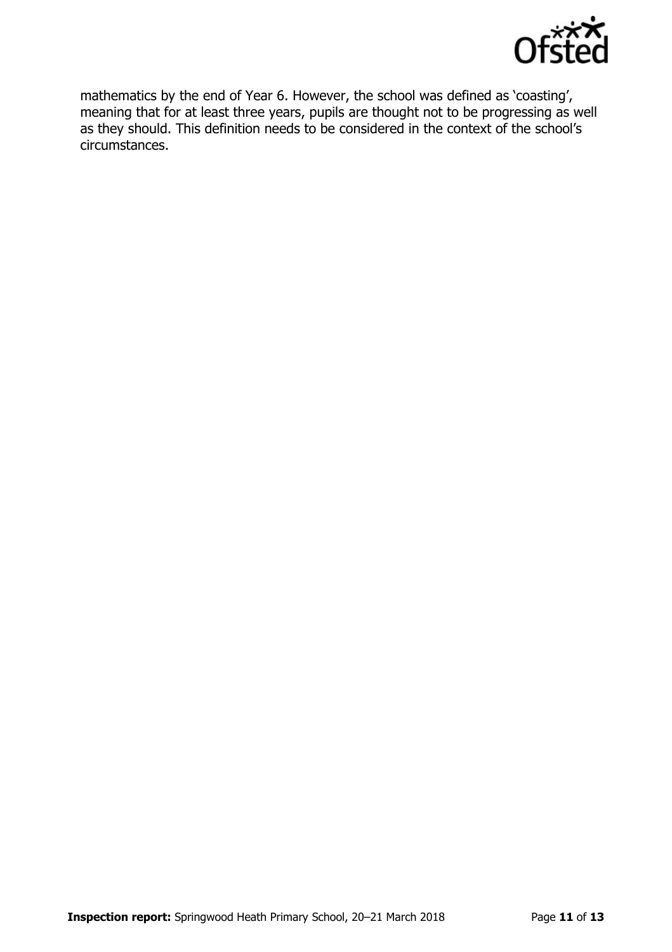

mathematics by the end of Year 6. However, the school was defined as 'coasting', meaning that for at least three years, pupils are thought not to be progressing as well as they should. This definition needs to be considered in the context of the school's circumstances.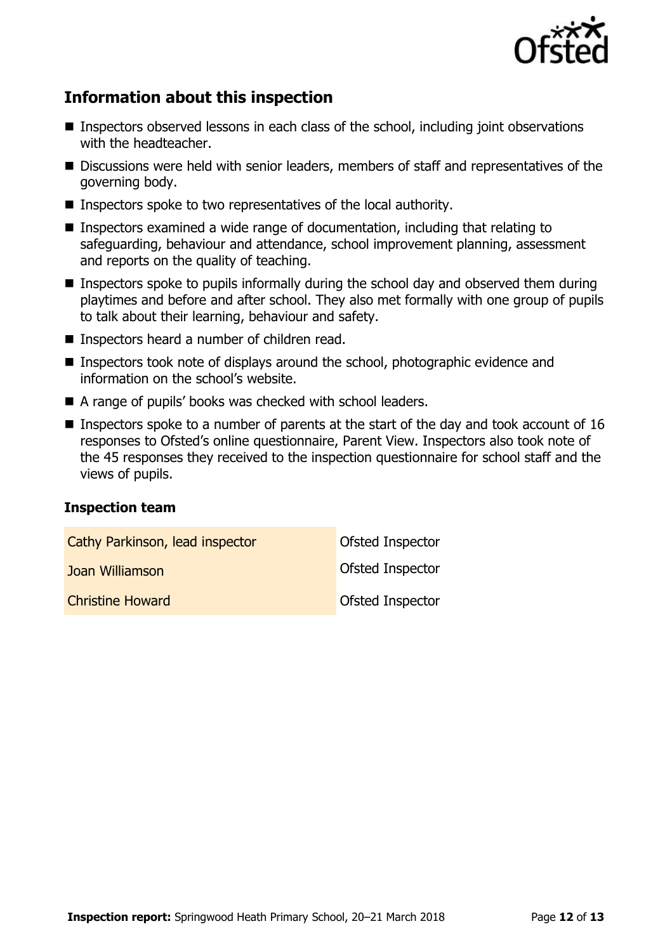

# **Information about this inspection**

- Inspectors observed lessons in each class of the school, including joint observations with the headteacher.
- Discussions were held with senior leaders, members of staff and representatives of the governing body.
- Inspectors spoke to two representatives of the local authority.
- Inspectors examined a wide range of documentation, including that relating to safeguarding, behaviour and attendance, school improvement planning, assessment and reports on the quality of teaching.
- Inspectors spoke to pupils informally during the school day and observed them during playtimes and before and after school. They also met formally with one group of pupils to talk about their learning, behaviour and safety.
- Inspectors heard a number of children read.
- Inspectors took note of displays around the school, photographic evidence and information on the school's website.
- A range of pupils' books was checked with school leaders.
- **Inspectors spoke to a number of parents at the start of the day and took account of 16** responses to Ofsted's online questionnaire, Parent View. Inspectors also took note of the 45 responses they received to the inspection questionnaire for school staff and the views of pupils.

#### **Inspection team**

| Cathy Parkinson, lead inspector | Ofsted Inspector        |
|---------------------------------|-------------------------|
| Joan Williamson                 | <b>Ofsted Inspector</b> |
| <b>Christine Howard</b>         | <b>Ofsted Inspector</b> |